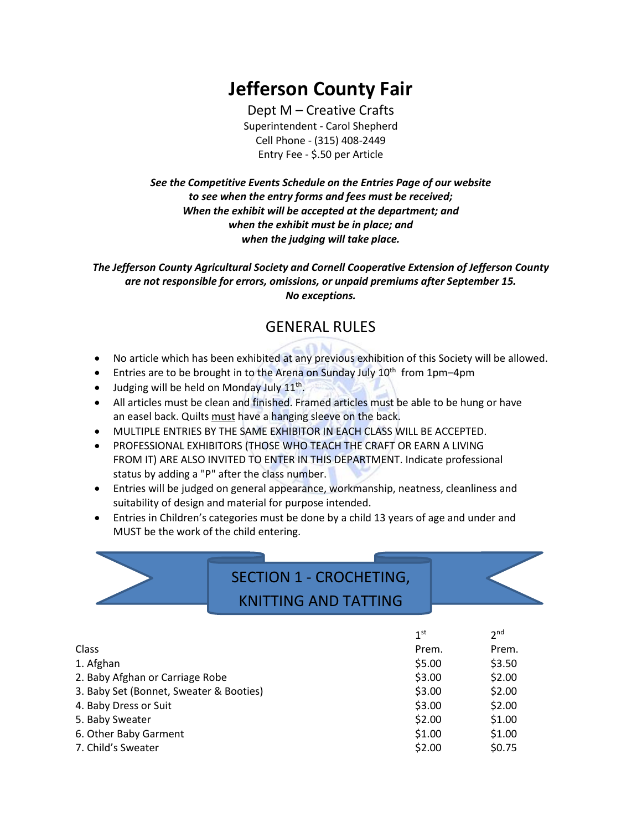# **Jefferson County Fair**

Dept M – Creative Crafts Superintendent - Carol Shepherd Cell Phone - (315) 408-2449 Entry Fee - \$.50 per Article

*See the Competitive Events Schedule on the Entries Page of our website to see when the entry forms and fees must be received; When the exhibit will be accepted at the department; and when the exhibit must be in place; and when the judging will take place.*

*The Jefferson County Agricultural Society and Cornell Cooperative Extension of Jefferson County are not responsible for errors, omissions, or unpaid premiums after September 15. No exceptions.*

### GENERAL RULES

- No article which has been exhibited at any previous exhibition of this Society will be allowed.
- Entries are to be brought in to the Arena on Sunday July 10<sup>th</sup> from 1pm-4pm
- Judging will be held on Monday July  $11<sup>th</sup>$ .
- All articles must be clean and finished. Framed articles must be able to be hung or have an easel back. Quilts must have a hanging sleeve on the back.
- MULTIPLE ENTRIES BY THE SAME EXHIBITOR IN EACH CLASS WILL BE ACCEPTED.
- PROFESSIONAL EXHIBITORS (THOSE WHO TEACH THE CRAFT OR EARN A LIVING FROM IT) ARE ALSO INVITED TO ENTER IN THIS DEPARTMENT. Indicate professional status by adding a "P" after the class number.
- Entries will be judged on general appearance, workmanship, neatness, cleanliness and suitability of design and material for purpose intended.
- Entries in Children's categories must be done by a child 13 years of age and under and MUST be the work of the child entering.

## SECTION 1 - CROCHETING, KNITTING AND TATTING

|                                         | 1 <sup>st</sup> | 2 <sub>nd</sub> |
|-----------------------------------------|-----------------|-----------------|
| Class                                   | Prem.           | Prem.           |
| 1. Afghan                               | \$5.00          | \$3.50          |
| 2. Baby Afghan or Carriage Robe         | \$3.00          | \$2.00          |
| 3. Baby Set (Bonnet, Sweater & Booties) | \$3.00          | \$2.00          |
| 4. Baby Dress or Suit                   | \$3.00          | \$2.00          |
| 5. Baby Sweater                         | \$2.00          | \$1.00          |
| 6. Other Baby Garment                   | \$1.00          | \$1.00          |
| 7. Child's Sweater                      | \$2.00          | \$0.75          |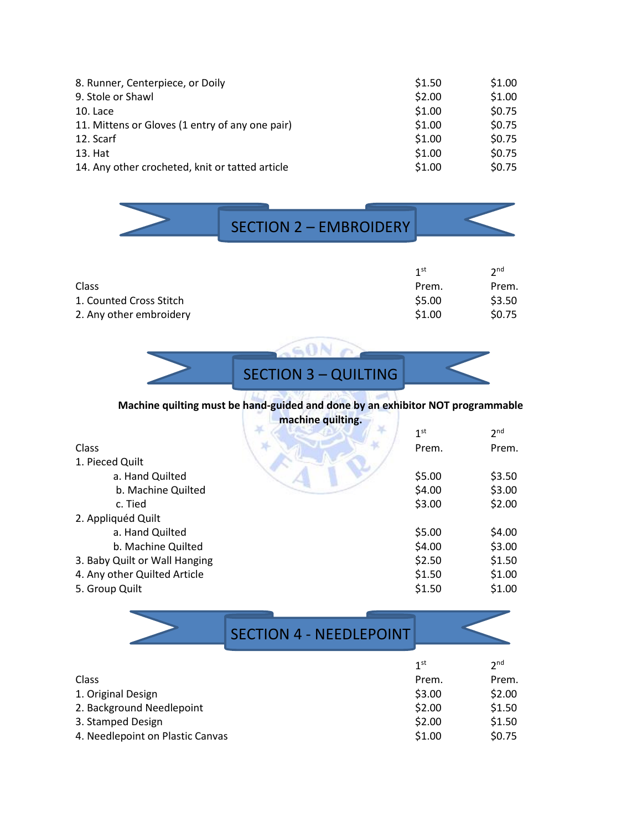| 8. Runner, Centerpiece, or Doily                | \$1.50 | \$1.00 |
|-------------------------------------------------|--------|--------|
| 9. Stole or Shawl                               | \$2.00 | \$1.00 |
| 10. Lace                                        | \$1.00 | \$0.75 |
| 11. Mittens or Gloves (1 entry of any one pair) | \$1.00 | \$0.75 |
| 12. Scarf                                       | \$1.00 | \$0.75 |
| 13. Hat                                         | \$1.00 | \$0.75 |
| 14. Any other crocheted, knit or tatted article | \$1.00 | \$0.75 |

| <b>SECTION 2 - EMBROIDERY</b> |  |
|-------------------------------|--|
|                               |  |

|                         | 1 <sup>st</sup> | 2 <sub>nd</sub> |
|-------------------------|-----------------|-----------------|
| Class                   | Prem.           | Prem.           |
| 1. Counted Cross Stitch | \$5.00          | \$3.50          |
| 2. Any other embroidery | \$1.00          | <b>SO.75</b>    |

SECTION 3 – QUILTING

SON O

#### **Machine quilting must be hand-guided and done by an exhibitor NOT programmable machine quilting.**

|                               | 1 <sup>st</sup> | 2 <sub>nd</sub> |
|-------------------------------|-----------------|-----------------|
| Class                         | Prem.           | Prem.           |
| 1. Pieced Quilt               |                 |                 |
| a. Hand Quilted               | \$5.00          | \$3.50          |
| b. Machine Quilted            | \$4.00          | \$3.00          |
| c. Tied                       | \$3.00          | \$2.00          |
| 2. Appliquéd Quilt            |                 |                 |
| a. Hand Quilted               | \$5.00          | \$4.00          |
| b. Machine Quilted            | \$4.00          | \$3.00          |
| 3. Baby Quilt or Wall Hanging | \$2.50          | \$1.50          |
| 4. Any other Quilted Article  | \$1.50          | \$1.00          |
| 5. Group Quilt                | \$1.50          | \$1.00          |
|                               |                 |                 |

|                           | <b>SECTION 4 - NEEDLEPOINT</b> |                 |                 |
|---------------------------|--------------------------------|-----------------|-----------------|
|                           |                                | 1 <sup>st</sup> | 2 <sub>nd</sub> |
| Class                     |                                | Prem.           | Prem.           |
| 1. Original Design        |                                | \$3.00          | \$2.00          |
| 2. Background Needlepoint |                                | \$2.00          | \$1.50          |

- 3. Stamped Design  $\frac{1}{2}$ . Stamped Design  $\frac{1}{2}$ . Stamped Design  $\frac{1}{2}$ . Stamped Design  $\frac{1}{2}$ .
- 4. Needlepoint on Plastic Canvas  $$1.00$  \$0.75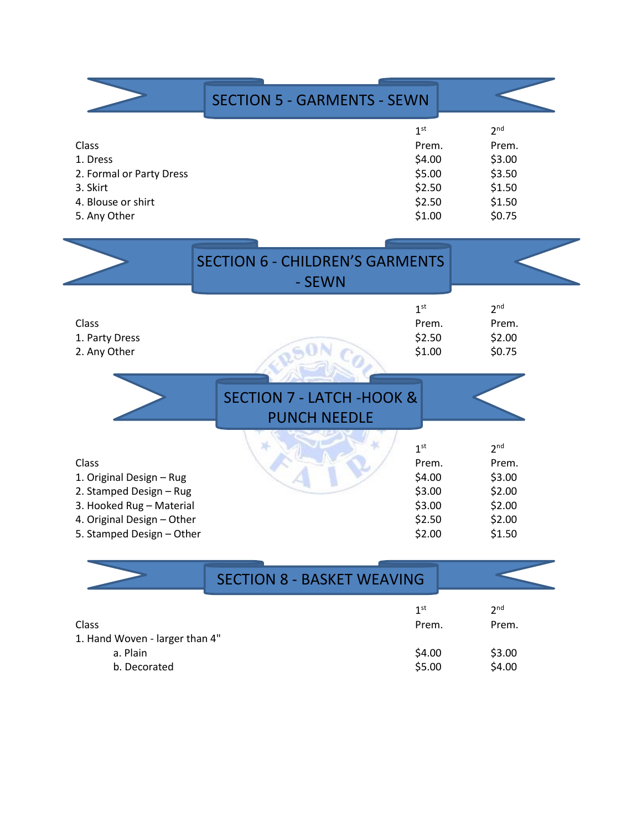|                          | <b>SECTION 5 - GARMENTS - SEWN</b> |                 |
|--------------------------|------------------------------------|-----------------|
|                          | 1 <sup>st</sup>                    | 2 <sub>nd</sub> |
| Class                    | Prem.                              | Prem.           |
| 1. Dress                 | \$4.00                             | \$3.00          |
| 2. Formal or Party Dress | \$5.00                             | \$3.50          |
| 3. Skirt                 | \$2.50                             | \$1.50          |
| 4. Blouse or shirt       | \$2.50                             | \$1.50          |
| 5. Any Other             | \$1.00                             | \$0.75          |

 $\overline{a}$ 

|                                                                                                                                                     | <b>SECTION 6 - CHILDREN'S GARMENTS</b><br>- SEWN            |                                                                            |                                                                            |
|-----------------------------------------------------------------------------------------------------------------------------------------------------|-------------------------------------------------------------|----------------------------------------------------------------------------|----------------------------------------------------------------------------|
| Class<br>1. Party Dress<br>2. Any Other                                                                                                             |                                                             | 1 <sup>st</sup><br>Prem.<br>\$2.50<br>\$1.00                               | 2 <sup>nd</sup><br>Prem.<br>\$2.00<br>\$0.75                               |
|                                                                                                                                                     | <b>SECTION 7 - LATCH -HOOK &amp;</b><br><b>PUNCH NEEDLE</b> |                                                                            |                                                                            |
| Class<br>1. Original Design - Rug<br>2. Stamped Design - Rug<br>3. Hooked Rug - Material<br>4. Original Design - Other<br>5. Stamped Design - Other |                                                             | 1 <sup>st</sup><br>Prem.<br>\$4.00<br>\$3.00<br>\$3.00<br>\$2.50<br>\$2.00 | 2 <sup>nd</sup><br>Prem.<br>\$3.00<br>\$2.00<br>\$2.00<br>\$2.00<br>\$1.50 |

|                                | <b>SECTION 8 - BASKET WEAVING</b> |                 |                 |  |
|--------------------------------|-----------------------------------|-----------------|-----------------|--|
|                                |                                   | 1 <sup>st</sup> | 2 <sub>nd</sub> |  |
| <b>Class</b>                   |                                   | Prem.           | Prem.           |  |
| 1. Hand Woven - larger than 4" |                                   |                 |                 |  |
| a. Plain                       |                                   | \$4.00          | \$3.00          |  |
| b. Decorated                   |                                   | \$5.00          | \$4.00          |  |

 $\overline{\phantom{0}}$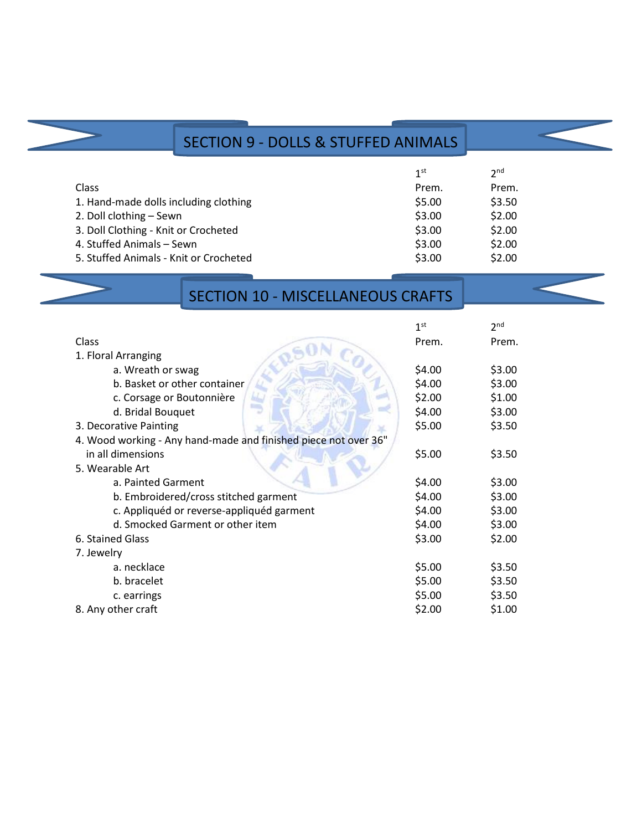### SECTION 9 - DOLLS & STUFFED ANIMALS

|                                        | 1 <sup>st</sup> | 2 <sub>nd</sub> |
|----------------------------------------|-----------------|-----------------|
| <b>Class</b>                           | Prem.           | Prem.           |
| 1. Hand-made dolls including clothing  | \$5.00          | \$3.50          |
| 2. Doll clothing - Sewn                | \$3.00          | \$2.00          |
| 3. Doll Clothing - Knit or Crocheted   | \$3.00          | \$2.00          |
| 4. Stuffed Animals - Sewn              | \$3.00          | \$2.00          |
| 5. Stuffed Animals - Knit or Crocheted | \$3.00          | \$2.00          |

### SECTION 10 - MISCELLANEOUS CRAFTS

|                                                                 | 1 <sup>st</sup> | 2 <sub>nd</sub> |
|-----------------------------------------------------------------|-----------------|-----------------|
| <b>Class</b>                                                    | Prem.           | Prem.           |
| 1. Floral Arranging                                             |                 |                 |
| a. Wreath or swag                                               | \$4.00          | \$3.00          |
| b. Basket or other container                                    | \$4.00          | \$3.00          |
| c. Corsage or Boutonnière                                       | \$2.00          | \$1.00          |
| d. Bridal Bouquet                                               | \$4.00          | \$3.00          |
| 3. Decorative Painting                                          | \$5.00          | \$3.50          |
| 4. Wood working - Any hand-made and finished piece not over 36" |                 |                 |
| in all dimensions                                               | \$5.00          | \$3.50          |
| 5. Wearable Art                                                 |                 |                 |
| a. Painted Garment                                              | \$4.00          | \$3.00          |
| b. Embroidered/cross stitched garment                           | \$4.00          | \$3.00          |
| c. Appliquéd or reverse-appliquéd garment                       | \$4.00          | \$3.00          |
| d. Smocked Garment or other item                                | \$4.00          | \$3.00          |
| 6. Stained Glass                                                | \$3.00          | \$2.00          |
| 7. Jewelry                                                      |                 |                 |
| a. necklace                                                     | \$5.00          | \$3.50          |
| b. bracelet                                                     | \$5.00          | \$3.50          |
| c. earrings                                                     | \$5.00          | \$3.50          |
| 8. Any other craft                                              | \$2.00          | \$1.00          |